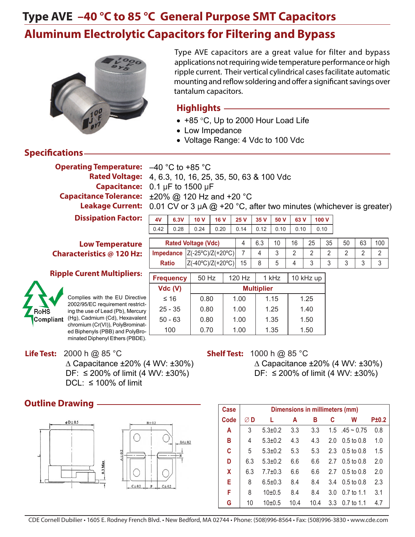

Type AVE capacitors are a great value for filter and bypass applications not requiring wide temperature performance or high ripple current. Their vertical cylindrical cases facilitate automatic mounting and reflow soldering and offer a significant savings over tantalum capacitors.

### **Highlights**

- +85 °C, Up to 2000 Hour Load Life
- Low Impedance
- Voltage Range: 4 Vdc to 100 Vdc

### **Specifications**

**Operating Temperature:**  $-40\degree C$  to +85  $°C$ 

4, 6.3, 10, 16, 25, 35, 50, 63 & 100 Vdc **Rated Voltage: Capacitance:** 0.1 µF to 1500 µF **Capacitance Tolerance:** ±20% @ 120 Hz and +20 °C Leakage Current: 0.01 CV or 3 µA @ +20 °C, after two minutes (whichever is greater)

> **4V 6.3V 10 V 16 V 25 V 35 V 50 V 63 V 100 V** 0.42 | 0.28 | 0.24 | 0.20 | 0.14 | 0.12 | 0.10 | 0.10 | 0.10

**Dissipation Factor:**

#### **Low Temperature Characteristics @ 120 Hz:**

#### **Ripple Curent Multipliers:**



Complies with the EU Directive 2002/95/EC requirement restricting the use of Lead (Pb), Mercury Compliant (Hg), Cadmium (Cd), Hexavalent chromium (Cr(VI)), PolyBrominated Biphenyls (PBB) and PolyBrominated Diphenyl Ethers (PBDE).

**Frequency** 50 Hz  $\vert$  120 Hz  $\vert$  1 kHz  $\vert$  10 kHz up  $\vert$ **Rated Voltage (Vdc)** 4 6.3 10 16 25 35 50 63 100 **Impedance**  $|Z(-25^{\circ}C)/Z(+20^{\circ}C)|$  7 4 3 2 2 2 2 2 2 2 2 **Ratio**  $|Z(-40^{\circ}C)/Z(+20^{\circ}C)|$  15 | 8 | 5 | 4 | 3 | 3 | 3 | 3 | 3

| Vdc (V)   |      |      | <b>Multiplier</b> |      |
|-----------|------|------|-------------------|------|
| $\leq 16$ | 0.80 | 1.00 | 1.15              | 1.25 |
| $25 - 35$ | 0.80 | 1.00 | 1.25              | 1.40 |
| $50 - 63$ | 0.80 | 1.00 | 1.35              | 1.50 |
| 100       | 0.70 | 1.00 | 1.35              | 1.50 |

**Life Test:** 2000 h @ 85 °C ∆ Capacitance ±20% (4 WV: ±30%) DF: ≤ 200% of limit  $(4 \text{ WV: } ±30%)$ DCL:  $\leq 100\%$  of limit

### **Outline Drawing ·**



### **Shelf Test:** 1000 h @ 85 °C

 ∆ Capacitance ±20% (4 WV: ±30%) DF: ≤ 200% of limit  $(4 \text{ WV: } ±30\%)$ 

| Case |     |                     |      | Dimensions in millimeters (mm) |     |                           |       |
|------|-----|---------------------|------|--------------------------------|-----|---------------------------|-------|
| Code | ØD  | L                   | A    | в                              | C   | W                         | P±0.2 |
| A    | 3   | $5.3 \pm 0.2$       | 3.3  | 3.3                            |     | $1.5 \t .45 \approx 0.75$ | 0.8   |
| в    | 4   | $5.3 \pm 0.2$       | 4.3  | 4.3                            | 2.0 | $0.5 \text{ to } 0.8$     | 1.0   |
| C    | 5   | $5.3 \pm 0.2$       | 5.3  | 5.3                            | 2.3 | $0.5 \text{ to } 0.8$     | 1.5   |
| D    | 6.3 | $5.3 \pm 0.2$       | 6.6  | 6.6                            | 27  | $0.5 \text{ to } 0.8$     | 2.0   |
| X    | 6.3 | $7.7 \pm 0.3$       | 6.6  | 6.6                            | 2.7 | $0.5 \text{ to } 0.8$     | 2.0   |
| Е    | 8   | $6.5 \pm 0.3$       | 8.4  | 8.4                            | 3.4 | $0.5 \text{ to } 0.8$     | 2.3   |
| F    | 8   | $10+0.5$            | 8.4  | 8.4                            | 3.0 | $0.7$ to 1.1              | 3.1   |
| G    | 10  | 10 <sub>±</sub> 0.5 | 10.4 | 10.4                           | 3.3 | $0.7$ to 1.1              | 4.7   |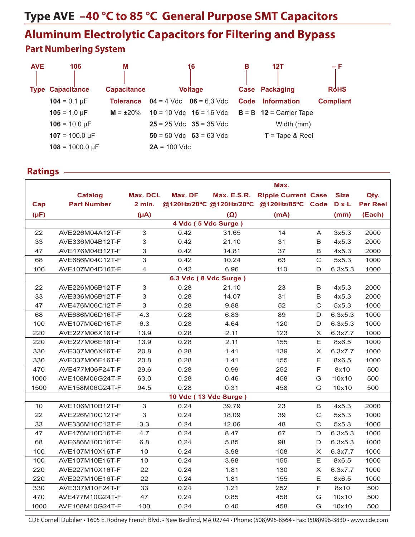# **Type AVE –40 °C to 85 °C General Purpose SMT Capacitors**

## **Aluminum Electrolytic Capacitors for Filtering and Bypass Part Numbering System**

| <b>AVE</b> | 106                       | M                  |                | 16                          | в    | 12T                                                 | – F              |
|------------|---------------------------|--------------------|----------------|-----------------------------|------|-----------------------------------------------------|------------------|
|            |                           |                    |                |                             |      |                                                     |                  |
|            | <b>Type Capacitance</b>   | <b>Capacitance</b> |                | <b>Voltage</b>              |      | <b>Case Packaging</b>                               | <b>RoHS</b>      |
|            | $104 = 0.1 \,\mu F$       | <b>Tolerance</b>   |                | $04 = 4$ Vdc $06 = 6.3$ Vdc | Code | <b>Information</b>                                  | <b>Compliant</b> |
|            | $105 = 1.0 \mu F$         | $M = \pm 20\%$     |                |                             |      | 10 = 10 Vdc $16 = 16$ Vdc $B = B$ 12 = Carrier Tape |                  |
|            | $106 = 10.0 \,\text{µF}$  |                    |                | $25 = 25$ Vdc $35 = 35$ Vdc |      | Width (mm)                                          |                  |
|            | $107 = 100.0 \,\mu F$     |                    |                | $50 = 50$ Vdc $63 = 63$ Vdc |      | $T = \text{Tape } 8 \text{ Reel}$                   |                  |
|            | $108 = 1000.0 \text{ µF}$ |                    | $2A = 100$ Vdc |                             |      |                                                     |                  |

#### **Ratings**

|           |                    |                 |                         |                    | Max.                       |                           |              |                 |
|-----------|--------------------|-----------------|-------------------------|--------------------|----------------------------|---------------------------|--------------|-----------------|
|           | <b>Catalog</b>     | <b>Max. DCL</b> | Max. DF                 | <b>Max. E.S.R.</b> | <b>Ripple Current Case</b> |                           | <b>Size</b>  | Qty.            |
| Cap       | <b>Part Number</b> | 2 min.          | @120Hz/20°C @120Hz/20°C |                    | @120Hz/85°C Code           |                           | <b>D</b> x L | <b>Per Reel</b> |
| $(\mu F)$ |                    | $(\mu A)$       |                         | $(\Omega)$         | (mA)                       |                           | (mm)         | (Each)          |
|           |                    |                 | 4 Vdc (5 Vdc Surge)     |                    |                            |                           |              |                 |
| 22        | AVE226M04A12T-F    | 3               | 0.42                    | 31.65              | 14                         | A                         | 3x5.3        | 2000            |
| 33        | AVE336M04B12T-F    | 3               | 0.42                    | 21.10              | 31                         | B                         | 4x5.3        | 2000            |
| 47        | AVE476M04B12T-F    | 3               | 0.42                    | 14.81              | 37                         | B                         | 4x5.3        | 2000            |
| 68        | AVE686M04C12T-F    | 3               | 0.42                    | 10.24              | 63                         | $\mathbf C$               | 5x5.3        | 1000            |
| 100       | AVE107M04D16T-F    | 4               | 0.42                    | 6.96               | 110                        | D                         | 6.3x5.3      | 1000            |
|           |                    |                 | 6.3 Vdc (8 Vdc Surge)   |                    |                            |                           |              |                 |
| 22        | AVE226M06B12T-F    | 3               | 0.28                    | 21.10              | 23                         | B                         | 4x5.3        | 2000            |
| 33        | AVE336M06B12T-F    | 3               | 0.28                    | 14.07              | 31                         | B                         | 4x5.3        | 2000            |
| 47        | AVE476M06C12T-F    | 3               | 0.28                    | 9.88               | 52                         | $\mathbf C$               | 5x5.3        | 1000            |
| 68        | AVE686M06D16T-F    | 4.3             | 0.28                    | 6.83               | 89                         | $\mathsf D$               | 6.3x5.3      | 1000            |
| 100       | AVE107M06D16T-F    | 6.3             | 0.28                    | 4.64               | 120                        | D                         | 6.3x5.3      | 1000            |
| 220       | AVE227M06X16T-F    | 13.9            | 0.28                    | 2.11               | 123                        | X                         | 6.3x7.7      | 1000            |
| 220       | AVE227M06E16T-F    | 13.9            | 0.28                    | 2.11               | 155                        | E                         | 8x6.5        | 1000            |
| 330       | AVE337M06X16T-F    | 20.8            | 0.28                    | 1.41               | 139                        | $\times$                  | 6.3x7.7      | 1000            |
| 330       | AVE337M06E16T-F    | 20.8            | 0.28                    | 1.41               | 155                        | E                         | 8x6.5        | 1000            |
| 470       | AVE477M06F24T-F    | 29.6            | 0.28                    | 0.99               | 252                        | $\mathsf F$               | 8x10         | 500             |
| 1000      | AVE108M06G24T-F    | 63.0            | 0.28                    | 0.46               | 458                        | G                         | 10x10        | 500             |
| 1500      | AVE158M06G24T-F    | 94.5            | 0.28                    | 0.31               | 458                        | G                         | 10x10        | 500             |
|           |                    |                 | 10 Vdc (13 Vdc Surge)   |                    |                            |                           |              |                 |
| 10        | AVE106M10B12T-F    | 3               | 0.24                    | 39.79              | 23                         | B                         | 4x5.3        | 2000            |
| 22        | AVE226M10C12T-F    | 3               | 0.24                    | 18.09              | 39                         | C                         | 5x5.3        | 1000            |
| 33        | AVE336M10C12T-F    | 3.3             | 0.24                    | 12.06              | 48                         | $\mathsf{C}$              | 5x5.3        | 1000            |
| 47        | AVE476M10D16T-F    | 4.7             | 0.24                    | 8.47               | 67                         | D                         | 6.3x5.3      | 1000            |
| 68        | AVE686M10D16T-F    | 6.8             | 0.24                    | 5.85               | 98                         | D                         | 6.3x5.3      | 1000            |
| 100       | AVE107M10X16T-F    | 10              | 0.24                    | 3.98               | 108                        | X                         | 6.3x7.7      | 1000            |
| 100       | AVE107M10E16T-F    | 10              | 0.24                    | 3.98               | 155                        | E                         | 8x6.5        | 1000            |
| 220       | AVE227M10X16T-F    | 22              | 0.24                    | 1.81               | 130                        | $\boldsymbol{\mathsf{X}}$ | 6.3x7.7      | 1000            |
| 220       | AVE227M10E16T-F    | 22              | 0.24                    | 1.81               | 155                        | E                         | 8x6.5        | 1000            |
| 330       | AVE337M10F24T-F    | 33              | 0.24                    | 1.21               | 252                        | $\mathsf F$               | 8x10         | 500             |
| 470       | AVE477M10G24T-F    | 47              | 0.24                    | 0.85               | 458                        | G                         | 10x10        | 500             |
| 1000      | AVE108M10G24T-F    | 100             | 0.24                    | 0.40               | 458                        | G                         | 10x10        | 500             |

CDE Cornell Dubilier • 1605 E. Rodney French Blvd. • New Bedford, MA 02744 • Phone: (508)996-8564 • Fax: (508)996-3830 • www.cde.com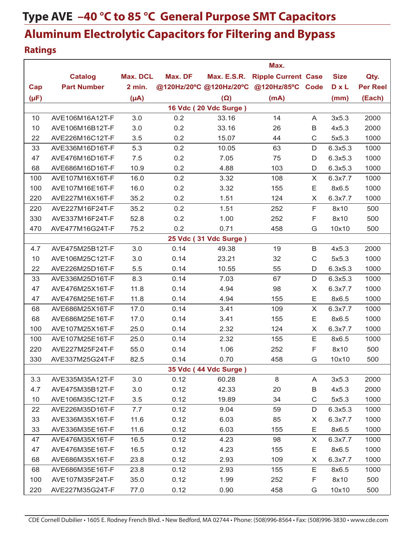### **Ratings**

|           |                    |                 |         |                         | Max.                       |              |              |                 |
|-----------|--------------------|-----------------|---------|-------------------------|----------------------------|--------------|--------------|-----------------|
|           | <b>Catalog</b>     | <b>Max. DCL</b> | Max. DF | <b>Max. E.S.R.</b>      | <b>Ripple Current Case</b> |              | <b>Size</b>  | Qty.            |
| Cap       | <b>Part Number</b> | 2 min.          |         | @120Hz/20°C @120Hz/20°C | @120Hz/85°C Code           |              | <b>D</b> x L | <b>Per Reel</b> |
| $(\mu F)$ |                    | $(\mu A)$       |         | $(\Omega)$              | (mA)                       |              | (mm)         | (Each)          |
|           |                    |                 |         | 16 Vdc (20 Vdc Surge)   |                            |              |              |                 |
| 10        | AVE106M16A12T-F    | 3.0             | 0.2     | 33.16                   | 14                         | A            | 3x5.3        | 2000            |
| 10        | AVE106M16B12T-F    | 3.0             | 0.2     | 33.16                   | 26                         | B            | 4x5.3        | 2000            |
| 22        | AVE226M16C12T-F    | 3.5             | 0.2     | 15.07                   | 44                         | $\mathsf C$  | 5x5.3        | 1000            |
| 33        | AVE336M16D16T-F    | 5.3             | 0.2     | 10.05                   | 63                         | D            | 6.3x5.3      | 1000            |
| 47        | AVE476M16D16T-F    | 7.5             | 0.2     | 7.05                    | 75                         | D            | 6.3x5.3      | 1000            |
| 68        | AVE686M16D16T-F    | 10.9            | 0.2     | 4.88                    | 103                        | D            | 6.3x5.3      | 1000            |
| 100       | AVE107M16X16T-F    | 16.0            | 0.2     | 3.32                    | 108                        | X            | 6.3x7.7      | 1000            |
| 100       | AVE107M16E16T-F    | 16.0            | 0.2     | 3.32                    | 155                        | E            | 8x6.5        | 1000            |
| 220       | AVE227M16X16T-F    | 35.2            | 0.2     | 1.51                    | 124                        | X            | 6.3x7.7      | 1000            |
| 220       | AVE227M16F24T-F    | 35.2            | 0.2     | 1.51                    | 252                        | F            | 8x10         | 500             |
| 330       | AVE337M16F24T-F    | 52.8            | 0.2     | 1.00                    | 252                        | F            | 8x10         | 500             |
| 470       | AVE477M16G24T-F    | 75.2            | 0.2     | 0.71                    | 458                        | G            | 10x10        | 500             |
|           |                    |                 |         | 25 Vdc (31 Vdc Surge)   |                            |              |              |                 |
| 4.7       | AVE475M25B12T-F    | 3.0             | 0.14    | 49.38                   | 19                         | B            | 4x5.3        | 2000            |
| 10        | AVE106M25C12T-F    | 3.0             | 0.14    | 23.21                   | 32                         | $\mathsf{C}$ | 5x5.3        | 1000            |
| 22        | AVE226M25D16T-F    | 5.5             | 0.14    | 10.55                   | 55                         | D            | 6.3x5.3      | 1000            |
| 33        | AVE336M25D16T-F    | 8.3             | 0.14    | 7.03                    | 67                         | D            | 6.3x5.3      | 1000            |
| 47        | AVE476M25X16T-F    | 11.8            | 0.14    | 4.94                    | 98                         | X            | 6.3x7.7      | 1000            |
| 47        | AVE476M25E16T-F    | 11.8            | 0.14    | 4.94                    | 155                        | E            | 8x6.5        | 1000            |
| 68        | AVE686M25X16T-F    | 17.0            | 0.14    | 3.41                    | 109                        | X            | 6.3x7.7      | 1000            |
| 68        | AVE686M25E16T-F    | 17.0            | 0.14    | 3.41                    | 155                        | E            | 8x6.5        | 1000            |
| 100       | AVE107M25X16T-F    | 25.0            | 0.14    | 2.32                    | 124                        | X            | 6.3x7.7      | 1000            |
| 100       | AVE107M25E16T-F    | 25.0            | 0.14    | 2.32                    | 155                        | Ε            | 8x6.5        | 1000            |
| 220       | AVE227M25F24T-F    | 55.0            | 0.14    | 1.06                    | 252                        | F            | 8x10         | 500             |
| 330       | AVE337M25G24T-F    | 82.5            | 0.14    | 0.70                    | 458                        | G            | 10x10        | 500             |
|           |                    |                 |         | 35 Vdc (44 Vdc Surge)   |                            |              |              |                 |
| 3.3       | AVE335M35A12T-F    | 3.0             | 0.12    | 60.28                   | 8                          | A            | 3x5.3        | 2000            |
| 4.7       | AVE475M35B12T-F    | 3.0             | 0.12    | 42.33                   | 20                         | B            | 4x5.3        | 2000            |
| 10        | AVE106M35C12T-F    | 3.5             | 0.12    | 19.89                   | 34                         | $\mathsf C$  | 5x5.3        | 1000            |
| 22        | AVE226M35D16T-F    | 7.7             | 0.12    | 9.04                    | 59                         | D            | 6.3x5.3      | 1000            |
| 33        | AVE336M35X16T-F    | 11.6            | 0.12    | 6.03                    | 85                         | X            | 6.3x7.7      | 1000            |
| 33        | AVE336M35E16T-F    | 11.6            | 0.12    | 6.03                    | 155                        | Е            | 8x6.5        | 1000            |
| 47        | AVE476M35X16T-F    | 16.5            | 0.12    | 4.23                    | 98                         | X            | 6.3x7.7      | 1000            |
| 47        | AVE476M35E16T-F    | 16.5            | 0.12    | 4.23                    | 155                        | Е            | 8x6.5        | 1000            |
| 68        | AVE686M35X16T-F    | 23.8            | 0.12    | 2.93                    | 109                        | X            | 6.3x7.7      | 1000            |
| 68        | AVE686M35E16T-F    | 23.8            | 0.12    | 2.93                    | 155                        | Е            | 8x6.5        | 1000            |
| 100       | AVE107M35F24T-F    | 35.0            | 0.12    | 1.99                    | 252                        | F            | 8x10         | 500             |
| 220       | AVE227M35G24T-F    | 77.0            | 0.12    | 0.90                    | 458                        | G            | 10x10        | 500             |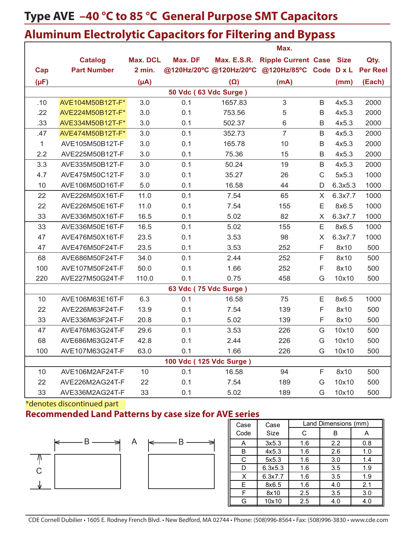|              |                    |                 |                         |            | Max.                                           |                |         |                 |
|--------------|--------------------|-----------------|-------------------------|------------|------------------------------------------------|----------------|---------|-----------------|
|              | <b>Catalog</b>     | <b>Max. DCL</b> | Max. DF                 |            | Max. E.S.R. Ripple Current Case Size           |                |         | Qty.            |
| Cap          | <b>Part Number</b> | 2 min.          |                         |            | @120Hz/20°C @120Hz/20°C @120Hz/85°C Code D x L |                |         | <b>Per Reel</b> |
| $(\mu F)$    |                    | $(\mu A)$       |                         | $(\Omega)$ | (mA)                                           |                | (mm)    | (Each)          |
|              |                    |                 | 50 Vdc (63 Vdc Surge)   |            |                                                |                |         |                 |
| .10          | AVE104M50B12T-F*   | 3.0             | 0.1                     | 1657.83    | $\mathfrak{S}$                                 | B              | 4x5.3   | 2000            |
| .22          | AVE224M50B12T-F*   | 3.0             | 0.1                     | 753.56     | 5                                              | $\sf B$        | 4x5.3   | 2000            |
| .33          | AVE334M50B12T-F*   | 3.0             | 0.1                     | 502.37     | 6                                              | $\sf B$        | 4x5.3   | 2000            |
| .47          | AVE474M50B12T-F*   | 3.0             | 0.1                     | 352.73     | $\overline{7}$                                 | $\sf B$        | 4x5.3   | 2000            |
| $\mathbf{1}$ | AVE105M50B12T-F    | 3.0             | 0.1                     | 165.78     | 10                                             | B              | 4x5.3   | 2000            |
| 2.2          | AVE225M50B12T-F    | 3.0             | 0.1                     | 75.36      | 15                                             | $\sf B$        | 4x5.3   | 2000            |
| 3.3          | AVE335M50B12T-F    | 3.0             | 0.1                     | 50.24      | 19                                             | $\sf B$        | 4x5.3   | 2000            |
| 4.7          | AVE475M50C12T-F    | 3.0             | 0.1                     | 35.27      | 26                                             | $\mathsf{C}$   | 5x5.3   | 1000            |
| 10           | AVE106M50D16T-F    | 5.0             | 0.1                     | 16.58      | 44                                             | $\mathsf D$    | 6.3x5.3 | 1000            |
| 22           | AVE226M50X16T-F    | 11.0            | 0.1                     | 7.54       | 65                                             | $\pmb{\times}$ | 6.3x7.7 | 1000            |
| 22           | AVE226M50E16T-F    | 11.0            | 0.1                     | 7.54       | 155                                            | E              | 8x6.5   | 1000            |
| 33           | AVE336M50X16T-F    | 16.5            | 0.1                     | 5.02       | 82                                             | X              | 6.3x7.7 | 1000            |
| 33           | AVE336M50E16T-F    | 16.5            | 0.1                     | 5.02       | 155                                            | E              | 8x6.5   | 1000            |
| 47           | AVE476M50X16T-F    | 23.5            | 0.1                     | 3.53       | 98                                             | X              | 6.3x7.7 | 1000            |
| 47           | AVE476M50F24T-F    | 23.5            | 0.1                     | 3.53       | 252                                            | F              | 8x10    | 500             |
| 68           | AVE686M50F24T-F    | 34.0            | 0.1                     | 2.44       | 252                                            | $\mathsf F$    | 8x10    | 500             |
| 100          | AVE107M50F24T-F    | 50.0            | 0.1                     | 1.66       | 252                                            | F              | 8x10    | 500             |
| 220          | AVE227M50G24T-F    | 110.0           | 0.1                     | 0.75       | 458                                            | G              | 10x10   | 500             |
|              |                    |                 | 63 Vdc (75 Vdc Surge)   |            |                                                |                |         |                 |
| 10           | AVE106M63E16T-F    | 6.3             | 0.1                     | 16.58      | 75                                             | E              | 8x6.5   | 1000            |
| 22           | AVE226M63F24T-F    | 13.9            | 0.1                     | 7.54       | 139                                            | F              | 8x10    | 500             |
| 33           | AVE336M63F24T-F    | 20.8            | 0.1                     | 5.02       | 139                                            | F              | 8x10    | 500             |
| 47           | AVE476M63G24T-F    | 29.6            | 0.1                     | 3.53       | 226                                            | G              | 10x10   | 500             |
| 68           | AVE686M63G24T-F    | 42.8            | 0.1                     | 2.44       | 226                                            | G              | 10x10   | 500             |
| 100          | AVE107M63G24T-F    | 63.0            | 0.1                     | 1.66       | 226                                            | G              | 10x10   | 500             |
|              |                    |                 | 100 Vdc (125 Vdc Surge) |            |                                                |                |         |                 |
| 10           | AVE106M2AF24T-F    | 10              | 0.1                     | 16.58      | 94                                             | F              | 8x10    | 500             |
| 22           | AVE226M2AG24T-F    | 22              | 0.1                     | 7.54       | 189                                            | G              | 10x10   | 500             |
| 33           | AVE336M2AG24T-F    | 33              | 0.1                     | 5.02       | 189                                            | G              | 10x10   | 500             |

\*denotes discontinued part

**Recommended Land Patterns by case size for AVE series**





| Case   | Case    |     | Land Dimensions (mm) |     |
|--------|---------|-----|----------------------|-----|
| Code   | Size    | C   | В                    | A   |
| A      | 3x5.3   | 1.6 | 2.2                  | 0.8 |
| B      | 4x5.3   | 1.6 | 2.6                  | 1.0 |
| ⌒<br>U | 5x5.3   | 1.6 | 3.0                  | 1.4 |
| D      | 6.3x5.3 | 1.6 | 3.5                  | 1.9 |
| v<br>⌒ | 6.3x7.7 | 1.6 | 3.5                  | 1.9 |
| Е      | 8x6.5   | 1.6 | 4.0                  | 2.1 |
| Е      | 8x10    | 2.5 | 3.5                  | 3.0 |
| G      | 10x10   | 2.5 | 4.0                  | 4.0 |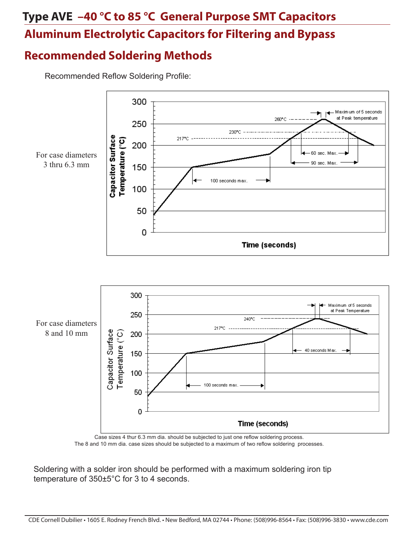### **Recommended Soldering Methods**

Recommended Reflow Soldering Profile:



The 8 and 10 mm dia. case sizes should be subjected to a maximum of two reflow soldering processes.

Soldering with a solder iron should be performed with a maximum soldering iron tip temperature of 350±5°C for 3 to 4 seconds.